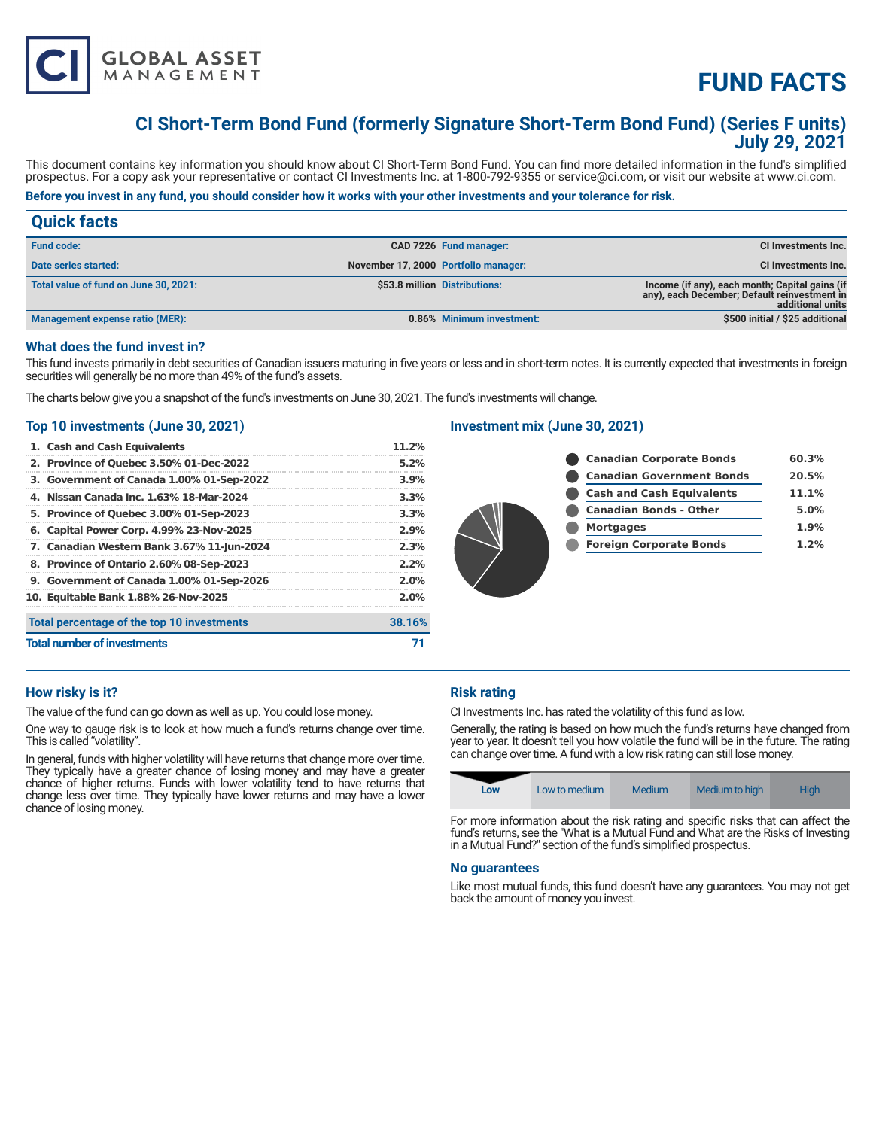

# **FUND FACTS**

# **CI Short-Term Bond Fund (formerly Signature Short-Term Bond Fund) (Series F units) July 29, 2021**

This document contains key information you should know about CI Short-Term Bond Fund. You can find more detailed information in the fund's simplified prospectus. For a copy ask your representative or contact CI Investments Inc. at 1-800-792-9355 or service@ci.com, or visit our website at www.ci.com.

# **Before you invest in any fund, you should consider how it works with your other investments and your tolerance for risk.**

# **Quick facts**

| <b>Fund code:</b>                     |                                      | CAD 7226 Fund manager:        | <b>CI Investments Inc.</b>                                                                                         |
|---------------------------------------|--------------------------------------|-------------------------------|--------------------------------------------------------------------------------------------------------------------|
| Date series started:                  | November 17, 2000 Portfolio manager: |                               | CI Investments Inc.                                                                                                |
| Total value of fund on June 30, 2021: |                                      | \$53.8 million Distributions: | Income (if any), each month; Capital gains (if<br>any), each December; Default reinvestment in<br>additional units |
| Management expense ratio (MER):       |                                      | 0.86% Minimum investment:     | \$500 initial / \$25 additional                                                                                    |

### **What does the fund invest in?**

This fund invests primarily in debt securities of Canadian issuers maturing in five years or less and in short-term notes. It is currently expected that investments in foreign securities will generally be no more than 49% of the fund's assets.

The charts below give you a snapshot of the fund's investments on June 30, 2021. The fund's investments will change.

### **Top 10 investments (June 30, 2021)**

|                                    | 1. Cash and Cash Equivalents               | 11.2%   |
|------------------------------------|--------------------------------------------|---------|
|                                    | 2. Province of Quebec 3.50% 01-Dec-2022    | $5.2\%$ |
|                                    | 3. Government of Canada 1.00% 01-Sep-2022  | 3.9%    |
|                                    | 4. Nissan Canada Inc. 1.63% 18-Mar-2024    | 3.3%    |
|                                    | 5. Province of Quebec 3.00% 01-Sep-2023    | 3.3%    |
|                                    | 6. Capital Power Corp. 4.99% 23-Nov-2025   | 2.9%    |
|                                    | 7. Canadian Western Bank 3.67% 11-Jun-2024 | 2.3%    |
|                                    | 8. Province of Ontario 2.60% 08-Sep-2023   | 2.2%    |
|                                    | 9. Government of Canada 1.00% 01-Sep-2026  | 2.0%    |
|                                    | 10. Equitable Bank 1.88% 26-Nov-2025       | 2.0%    |
|                                    | Total percentage of the top 10 investments | 38.16%  |
| <b>Total number of investments</b> |                                            |         |

# **Investment mix (June 30, 2021)**

| <b>Canadian Corporate Bonds</b>  | 60.3% |
|----------------------------------|-------|
| <b>Canadian Government Bonds</b> | 20.5% |
| <b>Cash and Cash Equivalents</b> | 11.1% |
| <b>Canadian Bonds - Other</b>    | 5.0%  |
| <b>Mortgages</b>                 | 1.9%  |
| <b>Foreign Corporate Bonds</b>   | 1.2%  |
|                                  |       |

# **How risky is it?**

The value of the fund can go down as well as up. You could lose money.

One way to gauge risk is to look at how much a fund's returns change over time. This is called "volatility".

In general, funds with higher volatility will have returns that change more over time. They typically have a greater chance of losing money and may have a greater chance of higher returns. Funds with lower volatility tend to have returns that change less over time. They typically have lower returns and may have a lower chance of losing money.

# **Risk rating**

CI Investments Inc. has rated the volatility of this fund as low.

Generally, the rating is based on how much the fund's returns have changed from year to year. It doesn't tell you how volatile the fund will be in the future. The rating can change over time. A fund with a low risk rating can still lose money.

| Low | Low to medium | Medium | Medium to high | <b>High</b> |
|-----|---------------|--------|----------------|-------------|
|-----|---------------|--------|----------------|-------------|

For more information about the risk rating and specific risks that can affect the fund's returns, see the "What is a Mutual Fund and What are the Risks of Investing in a Mutual Fund?" section of the fund's simplified prospectus.

#### **No guarantees**

Like most mutual funds, this fund doesn't have any guarantees. You may not get back the amount of money you invest.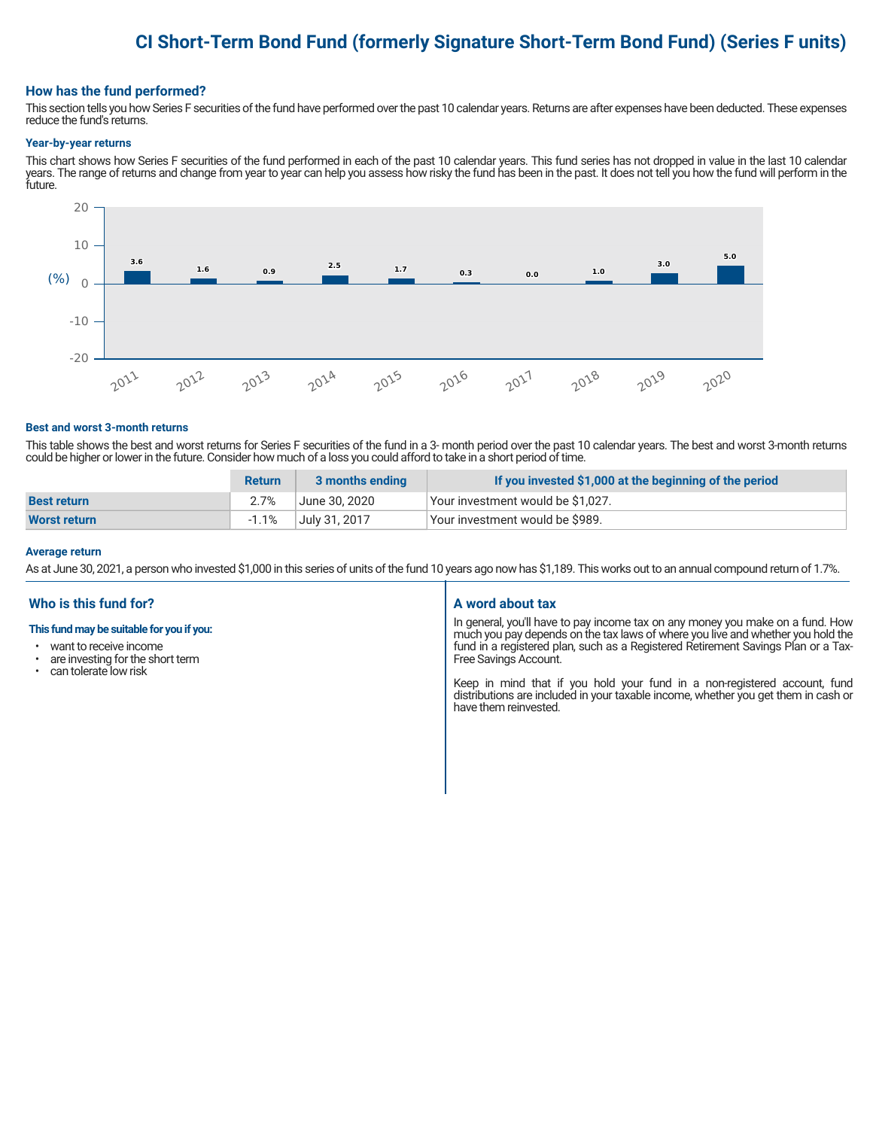# **CI Short-Term Bond Fund (formerly Signature Short-Term Bond Fund) (Series F units)**

#### **How has the fund performed?**

This section tells you how Series F securities of the fund have performed over the past 10 calendar years. Returns are after expenses have been deducted. These expenses reduce the fund's returns.

#### **Year-by-year returns**

This chart shows how Series F securities of the fund performed in each of the past 10 calendar years. This fund series has not dropped in value in the last 10 calendar years. The range of returns and change from year to year can help you assess how risky the fund has been in the past. It does not tell you how the fund will perform in the future.



#### **Best and worst 3-month returns**

This table shows the best and worst returns for Series F securities of the fund in a 3- month period over the past 10 calendar years. The best and worst 3-month returns could be higher or lower in the future. Consider how much of a loss you could afford to take in a short period of time.

|                     | <b>Return</b> | 3 months ending | If you invested \$1,000 at the beginning of the period |
|---------------------|---------------|-----------------|--------------------------------------------------------|
| <b>Best return</b>  | 2.7%          | ا June 30. 2020 | Your investment would be \$1,027.                      |
| <b>Worst return</b> | -1.1%         | July 31, 2017   | Vour investment would be \$989.                        |

#### **Average return**

As at June 30, 2021, a person who invested \$1,000 in this series of units of the fund 10 years ago now has \$1,189. This works out to an annual compound return of 1.7%.

# **Who is this fund for?**

#### **This fund may be suitable for you if you:**

- want to receive income
- are investing for the short term<br>• can tolerate low risk
- can tolerate low risk

#### **A word about tax**

In general, you'll have to pay income tax on any money you make on a fund. How much you pay depends on the tax laws of where you live and whether you hold the fund in a registered plan, such as a Registered Retirement Savings Plan or a Tax-Free Savings Account.

Keep in mind that if you hold your fund in a non-registered account, fund distributions are included in your taxable income, whether you get them in cash or have them reinvested.